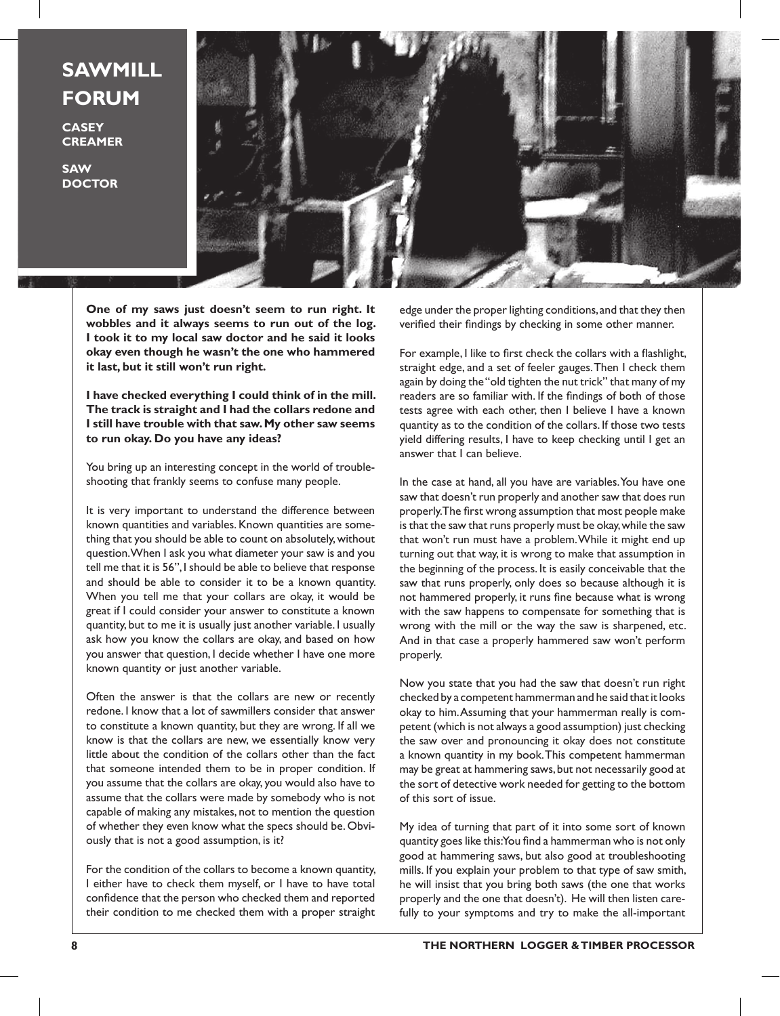## **SAWMILL FORUM**

**CASEY CREAMER**

**SAW DOCTOR**



**One of my saws just doesn't seem to run right. It wobbles and it always seems to run out of the log. I took it to my local saw doctor and he said it looks okay even though he wasn't the one who hammered it last, but it still won't run right.**

**I have checked everything I could think of in the mill. The track is straight and I had the collars redone and I still have trouble with that saw. My other saw seems to run okay. Do you have any ideas?**

You bring up an interesting concept in the world of troubleshooting that frankly seems to confuse many people.

It is very important to understand the difference between known quantities and variables. Known quantities are something that you should be able to count on absolutely, without question. When I ask you what diameter your saw is and you tell me that it is 56", I should be able to believe that response and should be able to consider it to be a known quantity. When you tell me that your collars are okay, it would be great if I could consider your answer to constitute a known quantity, but to me it is usually just another variable. I usually ask how you know the collars are okay, and based on how you answer that question, I decide whether I have one more known quantity or just another variable.

Often the answer is that the collars are new or recently redone. I know that a lot of sawmillers consider that answer to constitute a known quantity, but they are wrong. If all we know is that the collars are new, we essentially know very little about the condition of the collars other than the fact that someone intended them to be in proper condition. If you assume that the collars are okay, you would also have to assume that the collars were made by somebody who is not capable of making any mistakes, not to mention the question of whether they even know what the specs should be. Obviously that is not a good assumption, is it?

For the condition of the collars to become a known quantity, I either have to check them myself, or I have to have total confidence that the person who checked them and reported their condition to me checked them with a proper straight edge under the proper lighting conditions, and that they then verified their findings by checking in some other manner.

For example, I like to first check the collars with a flashlight, straight edge, and a set of feeler gauges. Then I check them again by doing the "old tighten the nut trick" that many of my readers are so familiar with. If the findings of both of those tests agree with each other, then I believe I have a known quantity as to the condition of the collars. If those two tests yield differing results, I have to keep checking until I get an answer that I can believe.

In the case at hand, all you have are variables. You have one saw that doesn't run properly and another saw that does run properly. The first wrong assumption that most people make is that the saw that runs properly must be okay, while the saw that won't run must have a problem. While it might end up turning out that way, it is wrong to make that assumption in the beginning of the process. It is easily conceivable that the saw that runs properly, only does so because although it is not hammered properly, it runs fine because what is wrong with the saw happens to compensate for something that is wrong with the mill or the way the saw is sharpened, etc. And in that case a properly hammered saw won't perform properly.

Now you state that you had the saw that doesn't run right checked by a competent hammerman and he said that it looks okay to him. Assuming that your hammerman really is competent (which is not always a good assumption) just checking the saw over and pronouncing it okay does not constitute a known quantity in my book. This competent hammerman may be great at hammering saws, but not necessarily good at the sort of detective work needed for getting to the bottom of this sort of issue.

My idea of turning that part of it into some sort of known quantity goes like this: You find a hammerman who is not only good at hammering saws, but also good at troubleshooting mills. If you explain your problem to that type of saw smith, he will insist that you bring both saws (the one that works properly and the one that doesn't). He will then listen carefully to your symptoms and try to make the all-important